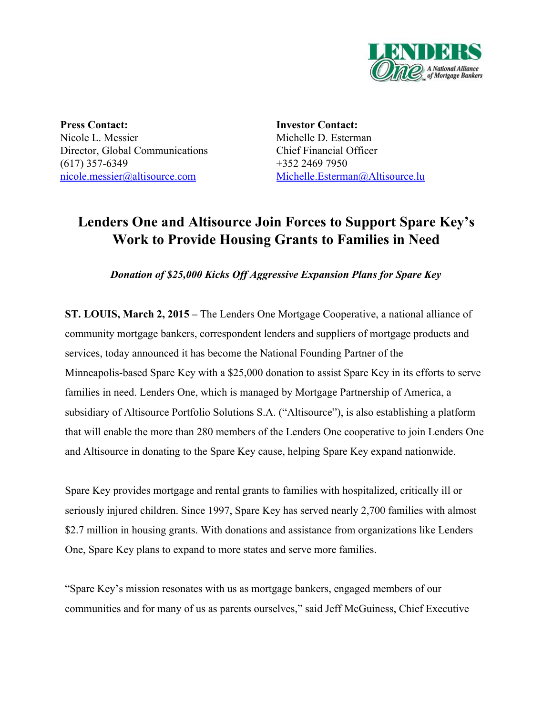

**Press Contact:** Nicole L. Messier Director, Global Communications  $(617)$  357-6349 [nicole.messier@altisource.com](mailto:kkovalak@lendersone.com)

**Investor Contact:** Michelle D. Esterman Chief Financial Officer +352 2469 7950 [Michelle.Esterman@Altisource.lu](mailto:Michelle.Esterman@Altisource.lu)

# **Lenders One and Altisource Join Forces to Support Spare Key's Work to Provide Housing Grants to Families in Need**

*Donation of \$25,000 Kicks Off Aggressive Expansion Plans for Spare Key*

**ST. LOUIS, March 2, 2015 –**The Lenders One Mortgage Cooperative, a national alliance of community mortgage bankers, correspondent lenders and suppliers of mortgage products and services, today announced it has become the National Founding Partner of the Minneapolis-based Spare Key with a \$25,000 donation to assist Spare Key in its efforts to serve families in need. Lenders One, which is managed by Mortgage Partnership of America, a subsidiary of Altisource Portfolio Solutions S.A. ("Altisource"), is also establishing a platform that will enable the more than 280 members of the Lenders One cooperative to join Lenders One and Altisource in donating to the Spare Key cause, helping Spare Key expand nationwide.

Spare Key provides mortgage and rental grants to families with hospitalized, critically ill or seriously injured children. Since 1997, Spare Key has served nearly 2,700 families with almost \$2.7 million in housing grants. With donations and assistance from organizations like Lenders One, Spare Key plans to expand to more states and serve more families.

"Spare Key's mission resonates with us as mortgage bankers, engaged members of our communities and for many of us as parents ourselves," said Jeff McGuiness, Chief Executive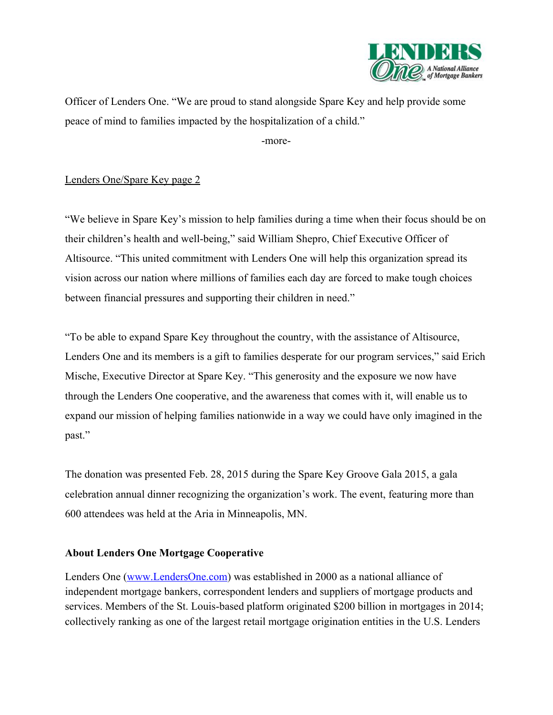

Officer of Lenders One. "We are proud to stand alongside Spare Key and help provide some peace of mind to families impacted by the hospitalization of a child."

more-

## Lenders One/Spare Key page 2

"We believe in Spare Key's mission to help families during a time when their focus should be on their children's health and well-being," said William Shepro, Chief Executive Officer of Altisource. "This united commitment with Lenders One will help this organization spread its vision across our nation where millions of families each day are forced to make tough choices between financial pressures and supporting their children in need."

"To be able to expand Spare Key throughout the country, with the assistance of Altisource, Lenders One and its members is a gift to families desperate for our program services," said Erich Mische, Executive Director at Spare Key. "This generosity and the exposure we now have through the Lenders One cooperative, and the awareness that comes with it, will enable us to expand our mission of helping families nationwide in a way we could have only imagined in the past."

The donation was presented Feb. 28, 2015 during the Spare Key Groove Gala 2015, a gala celebration annual dinner recognizing the organization's work. The event, featuring more than 600 attendees was held at the Aria in Minneapolis, MN.

#### **About Lenders One Mortgage Cooperative**

Lenders One [\(www.LendersOne.com\)](http://www.lendersone.com/) was established in 2000 as a national alliance of independent mortgage bankers, correspondent lenders and suppliers of mortgage products and services. Members of the St. Louis-based platform originated \$200 billion in mortgages in 2014; collectively ranking as one of the largest retail mortgage origination entities in the U.S. Lenders